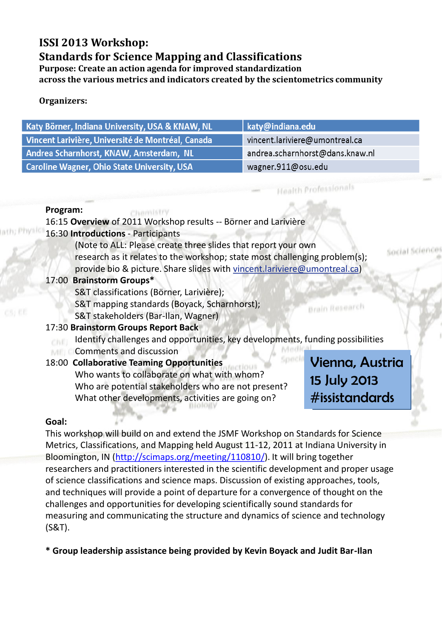# **ISSI 2013 Workshop: Standards for Science Mapping and Classifications**

**Purpose: Create an action agenda for improved standardization across the various metrics and indicators created by the scientometrics community**

### **Organizers:**

| Katy Börner, Indiana University, USA & KNAW, NL   | katy@indiana.edu                |
|---------------------------------------------------|---------------------------------|
| Vincent Larivière, Université de Montréal, Canada | vincent.lariviere@umontreal.ca  |
| Andrea Scharnhorst, KNAW, Amsterdam, NL           | andrea.scharnhorst@dans.knaw.nl |
| Caroline Wagner, Ohio State University, USA       | wagner.911@osu.edu              |

#### **Program:**

Chemistry 16:15 **Overview** of 2011 Workshop results -- Börner and Larivière

### 16:30 **Introductions** - Participants

(Note to ALL: Please create three slides that report your own research as it relates to the workshop; state most challenging problem(s); provide bio & picture. Share slides with vincent.lariviere@umontreal.ca)

#### 17:00 **Brainstorm Groups\***

S&T classifications (Börner, Larivière);

- S&T mapping standards (Boyack, Scharnhorst);
- S&T stakeholders (Bar-Ilan, Wagner)

## 17:30 **Brainstorm Groups Report Back**

- Identify challenges and opportunities, key developments, funding possibilities
- **Comments and discussion**

### 18:00 **Collaborative Teaming Opportunities**

Who wants to collaborate on what with whom? Who are potential stakeholders who are not present? What other developments, activities are going on?

Vienna, Austria 15 July 2013 #issistandards

Brain Research

Social Scienc

**Health Professionals** 

### **Goal:**

This workshop will build on and extend the JSMF Workshop on Standards for Science Metrics, Classifications, and Mapping held August 11-12, 2011 at Indiana University in Bloomington, IN ([http://scimaps.org/meeting/110810/\)](http://scimaps.org/meeting/110810/). It will bring together researchers and practitioners interested in the scientific development and proper usage of science classifications and science maps. Discussion of existing approaches, tools, and techniques will provide a point of departure for a convergence of thought on the challenges and opportunities for developing scientifically sound standards for measuring and communicating the structure and dynamics of science and technology (S&T).

**\* Group leadership assistance being provided by Kevin Boyack and Judit Bar-Ilan**